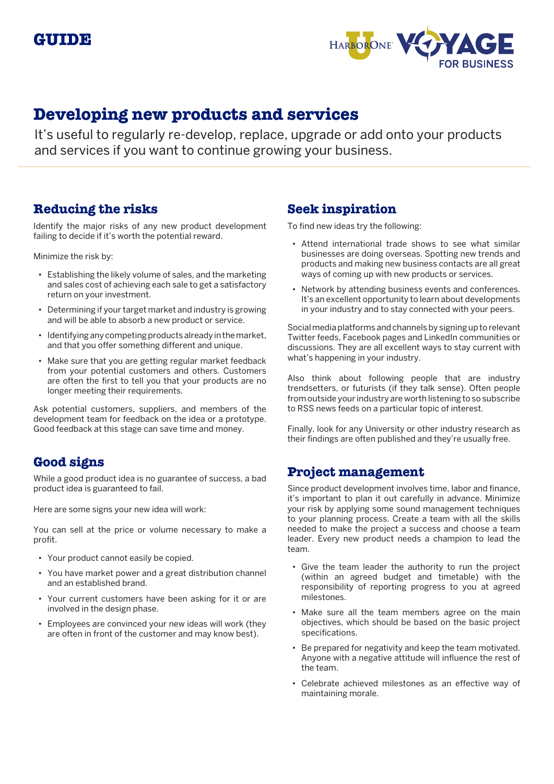

# **Developing new products and services**

It's useful to regularly re-develop, replace, upgrade or add onto your products and services if you want to continue growing your business.

# **Reducing the risks**

Identify the major risks of any new product development failing to decide if it's worth the potential reward.

Minimize the risk by:

- Establishing the likely volume of sales, and the marketing and sales cost of achieving each sale to get a satisfactory return on your investment.
- Determining if your target market and industry is growing and will be able to absorb a new product or service.
- Identifying any competing products already in the market, and that you offer something different and unique.
- Make sure that you are getting regular market feedback from your potential customers and others. Customers are often the first to tell you that your products are no longer meeting their requirements.

Ask potential customers, suppliers, and members of the development team for feedback on the idea or a prototype. Good feedback at this stage can save time and money.

# **Good signs**

While a good product idea is no guarantee of success, a bad product idea is guaranteed to fail.

Here are some signs your new idea will work:

You can sell at the price or volume necessary to make a profit.

- Your product cannot easily be copied.
- You have market power and a great distribution channel and an established brand.
- Your current customers have been asking for it or are involved in the design phase.
- Employees are convinced your new ideas will work (they are often in front of the customer and may know best).

## **Seek inspiration**

To find new ideas try the following:

- Attend international trade shows to see what similar businesses are doing overseas. Spotting new trends and products and making new business contacts are all great ways of coming up with new products or services.
- Network by attending business events and conferences. It's an excellent opportunity to learn about developments in your industry and to stay connected with your peers.

Social media platforms and channels by signing up to relevant Twitter feeds, Facebook pages and LinkedIn communities or discussions. They are all excellent ways to stay current with what's happening in your industry.

Also think about following people that are industry trendsetters, or futurists (if they talk sense). Often people from outside your industry are worth listening to so subscribe to RSS news feeds on a particular topic of interest.

Finally, look for any University or other industry research as their findings are often published and they're usually free.

## **Project management**

Since product development involves time, labor and finance, it's important to plan it out carefully in advance. Minimize your risk by applying some sound management techniques to your planning process. Create a team with all the skills needed to make the project a success and choose a team leader. Every new product needs a champion to lead the team.

- Give the team leader the authority to run the project (within an agreed budget and timetable) with the responsibility of reporting progress to you at agreed milestones.
- Make sure all the team members agree on the main objectives, which should be based on the basic project specifications.
- Be prepared for negativity and keep the team motivated. Anyone with a negative attitude will influence the rest of the team.
- Celebrate achieved milestones as an effective way of maintaining morale.